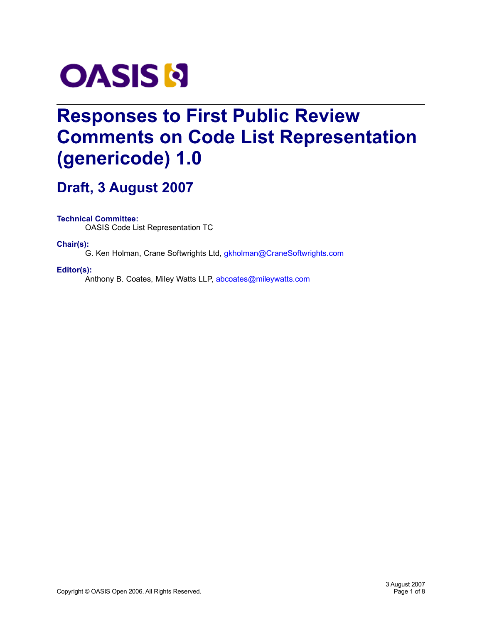

# **Responses to First Public Review Comments on Code List Representation (genericode) 1.0**

# **Draft, 3 August 2007**

**Technical Committee:**

OASIS Code List Representation TC

**Chair(s):**

G. Ken Holman, Crane Softwrights Ltd, [gkholman@CraneSoftwrights.com](mailto:gkholman@CraneSoftwrights.com)

#### **Editor(s):**

Anthony B. Coates, Miley Watts LLP, [abcoates@mileywatts.com](mailto:abcoates@mileywatts.com)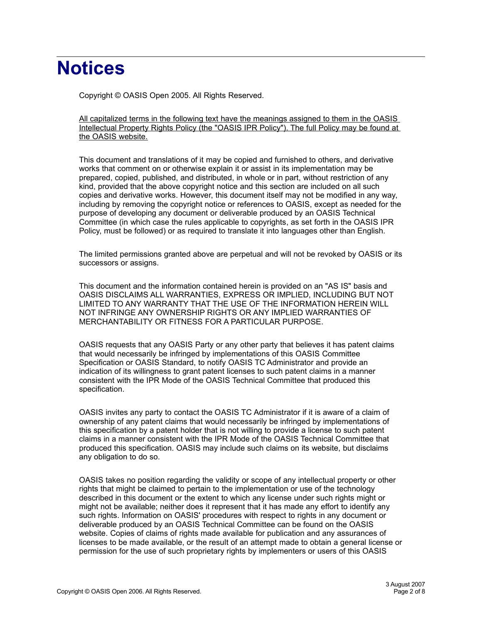# **Notices**

Copyright © OASIS Open 2005. All Rights Reserved.

All capitalized terms in the following text have the meanings assigned to them in the OASIS Intellectual Property Rights Policy (the "OASIS IPR Policy"). The full Policy may be found at the OASIS website.

This document and translations of it may be copied and furnished to others, and derivative works that comment on or otherwise explain it or assist in its implementation may be prepared, copied, published, and distributed, in whole or in part, without restriction of any kind, provided that the above copyright notice and this section are included on all such copies and derivative works. However, this document itself may not be modified in any way, including by removing the copyright notice or references to OASIS, except as needed for the purpose of developing any document or deliverable produced by an OASIS Technical Committee (in which case the rules applicable to copyrights, as set forth in the OASIS IPR Policy, must be followed) or as required to translate it into languages other than English.

The limited permissions granted above are perpetual and will not be revoked by OASIS or its successors or assigns.

This document and the information contained herein is provided on an "AS IS" basis and OASIS DISCLAIMS ALL WARRANTIES, EXPRESS OR IMPLIED, INCLUDING BUT NOT LIMITED TO ANY WARRANTY THAT THE USE OF THE INFORMATION HEREIN WILL NOT INFRINGE ANY OWNERSHIP RIGHTS OR ANY IMPLIED WARRANTIES OF MERCHANTABILITY OR FITNESS FOR A PARTICULAR PURPOSE.

OASIS requests that any OASIS Party or any other party that believes it has patent claims that would necessarily be infringed by implementations of this OASIS Committee Specification or OASIS Standard, to notify OASIS TC Administrator and provide an indication of its willingness to grant patent licenses to such patent claims in a manner consistent with the IPR Mode of the OASIS Technical Committee that produced this specification.

OASIS invites any party to contact the OASIS TC Administrator if it is aware of a claim of ownership of any patent claims that would necessarily be infringed by implementations of this specification by a patent holder that is not willing to provide a license to such patent claims in a manner consistent with the IPR Mode of the OASIS Technical Committee that produced this specification. OASIS may include such claims on its website, but disclaims any obligation to do so.

OASIS takes no position regarding the validity or scope of any intellectual property or other rights that might be claimed to pertain to the implementation or use of the technology described in this document or the extent to which any license under such rights might or might not be available; neither does it represent that it has made any effort to identify any such rights. Information on OASIS' procedures with respect to rights in any document or deliverable produced by an OASIS Technical Committee can be found on the OASIS website. Copies of claims of rights made available for publication and any assurances of licenses to be made available, or the result of an attempt made to obtain a general license or permission for the use of such proprietary rights by implementers or users of this OASIS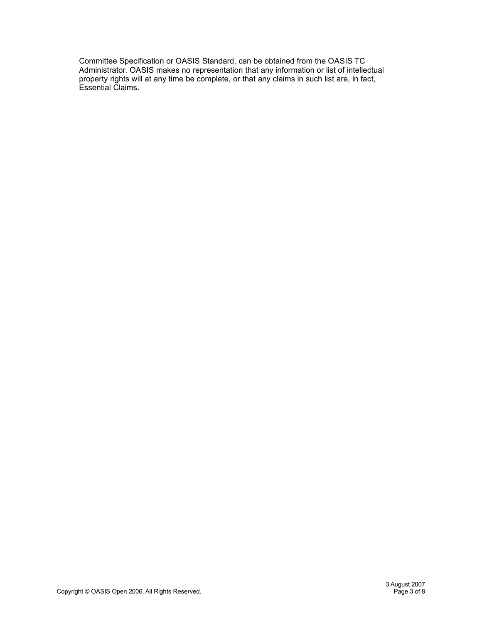Committee Specification or OASIS Standard, can be obtained from the OASIS TC Administrator. OASIS makes no representation that any information or list of intellectual property rights will at any time be complete, or that any claims in such list are, in fact, Essential Claims.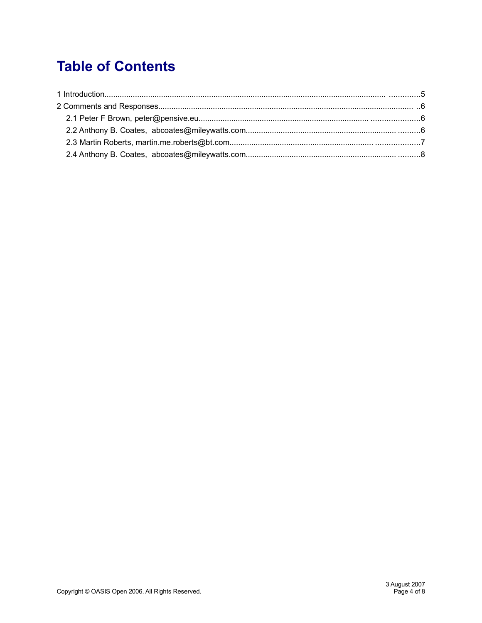# **Table of Contents**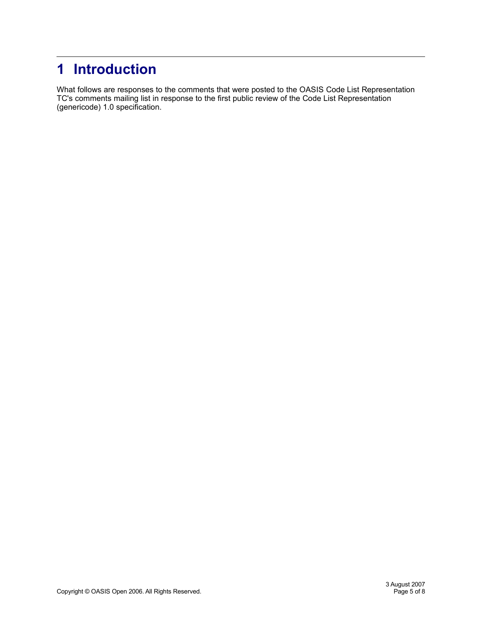# **1 Introduction**

What follows are responses to the comments that were posted to the OASIS Code List Representation TC's comments mailing list in response to the first public review of the Code List Representation (genericode) 1.0 specification.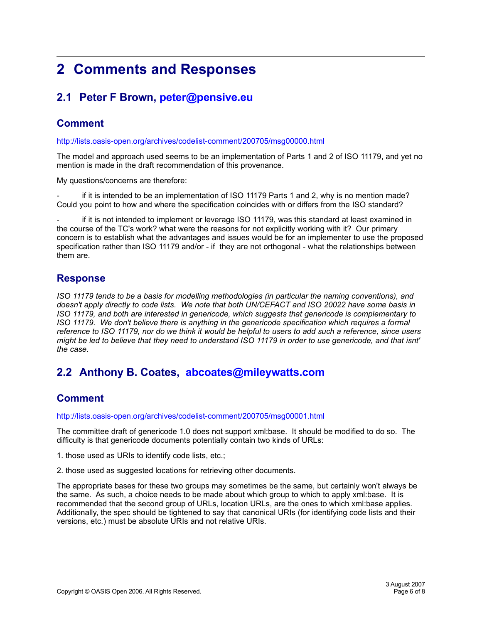# **2 Comments and Responses**

## **2.1 Peter F Brown, [peter@pensive.eu](mailto:peter@pensive.eu)**

### **Comment**

<http://lists.oasis-open.org/archives/codelist-comment/200705/msg00000.html>

The model and approach used seems to be an implementation of Parts 1 and 2 of ISO 11179, and yet no mention is made in the draft recommendation of this provenance.

My questions/concerns are therefore:

if it is intended to be an implementation of ISO 11179 Parts 1 and 2, why is no mention made? Could you point to how and where the specification coincides with or differs from the ISO standard?

if it is not intended to implement or leverage ISO 11179, was this standard at least examined in the course of the TC's work? what were the reasons for not explicitly working with it? Our primary concern is to establish what the advantages and issues would be for an implementer to use the proposed specification rather than ISO 11179 and/or - if they are not orthogonal - what the relationships between them are.

#### **Response**

*ISO 11179 tends to be a basis for modelling methodologies (in particular the naming conventions), and doesn't apply directly to code lists. We note that both UN/CEFACT and ISO 20022 have some basis in ISO 11179, and both are interested in genericode, which suggests that genericode is complementary to ISO 11179. We don't believe there is anything in the genericode specification which requires a formal reference to ISO 11179, nor do we think it would be helpful to users to add such a reference, since users might be led to believe that they need to understand ISO 11179 in order to use genericode, and that isnt' the case.*

### **2.2 Anthony B. Coates, [abcoates@mileywatts.com](mailto:abcoates@mileywatts.com)**

#### **Comment**

<http://lists.oasis-open.org/archives/codelist-comment/200705/msg00001.html>

The committee draft of genericode 1.0 does not support xml:base. It should be modified to do so. The difficulty is that genericode documents potentially contain two kinds of URLs:

1. those used as URIs to identify code lists, etc.;

2. those used as suggested locations for retrieving other documents.

The appropriate bases for these two groups may sometimes be the same, but certainly won't always be the same. As such, a choice needs to be made about which group to which to apply xml:base. It is recommended that the second group of URLs, location URLs, are the ones to which xml:base applies. Additionally, the spec should be tightened to say that canonical URIs (for identifying code lists and their versions, etc.) must be absolute URIs and not relative URIs.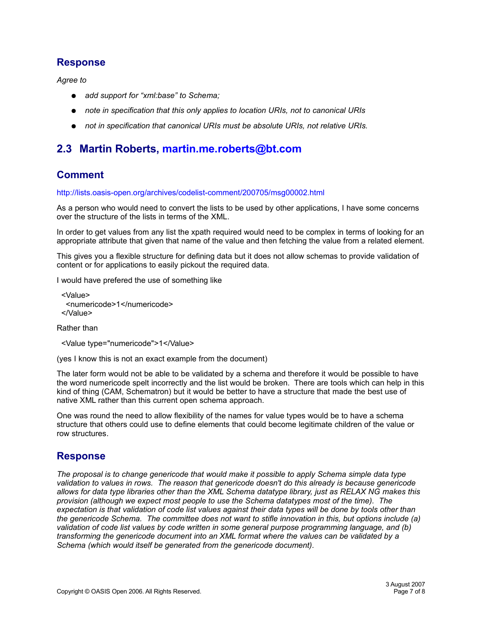#### **Response**

*Agree to*

- *add support for "xml:base" to Schema;*
- *note in specification that this only applies to location URIs, not to canonical URIs*
- *not in specification that canonical URIs must be absolute URIs, not relative URIs.*

### **2.3 Martin Roberts, [martin.me.roberts@bt.com](mailto:martin.me.roberts@bt.com)**

### **Comment**

<http://lists.oasis-open.org/archives/codelist-comment/200705/msg00002.html>

As a person who would need to convert the lists to be used by other applications, I have some concerns over the structure of the lists in terms of the XML.

In order to get values from any list the xpath required would need to be complex in terms of looking for an appropriate attribute that given that name of the value and then fetching the value from a related element.

This gives you a flexible structure for defining data but it does not allow schemas to provide validation of content or for applications to easily pickout the required data.

I would have prefered the use of something like

```
<Value>
  <numericode>1</numericode>
</Value>
```
Rather than

<Value type="numericode">1</Value>

(yes I know this is not an exact example from the document)

The later form would not be able to be validated by a schema and therefore it would be possible to have the word numericode spelt incorrectly and the list would be broken. There are tools which can help in this kind of thing (CAM, Schematron) but it would be better to have a structure that made the best use of native XML rather than this current open schema approach.

One was round the need to allow flexibility of the names for value types would be to have a schema structure that others could use to define elements that could become legitimate children of the value or row structures.

#### **Response**

*The proposal is to change genericode that would make it possible to apply Schema simple data type validation to values in rows. The reason that genericode doesn't do this already is because genericode allows for data type libraries other than the XML Schema datatype library, just as RELAX NG makes this provision (although we expect most people to use the Schema datatypes most of the time). The expectation is that validation of code list values against their data types will be done by tools other than the genericode Schema. The committee does not want to stifle innovation in this, but options include (a) validation of code list values by code written in some general purpose programming language, and (b) transforming the genericode document into an XML format where the values can be validated by a Schema (which would itself be generated from the genericode document).*